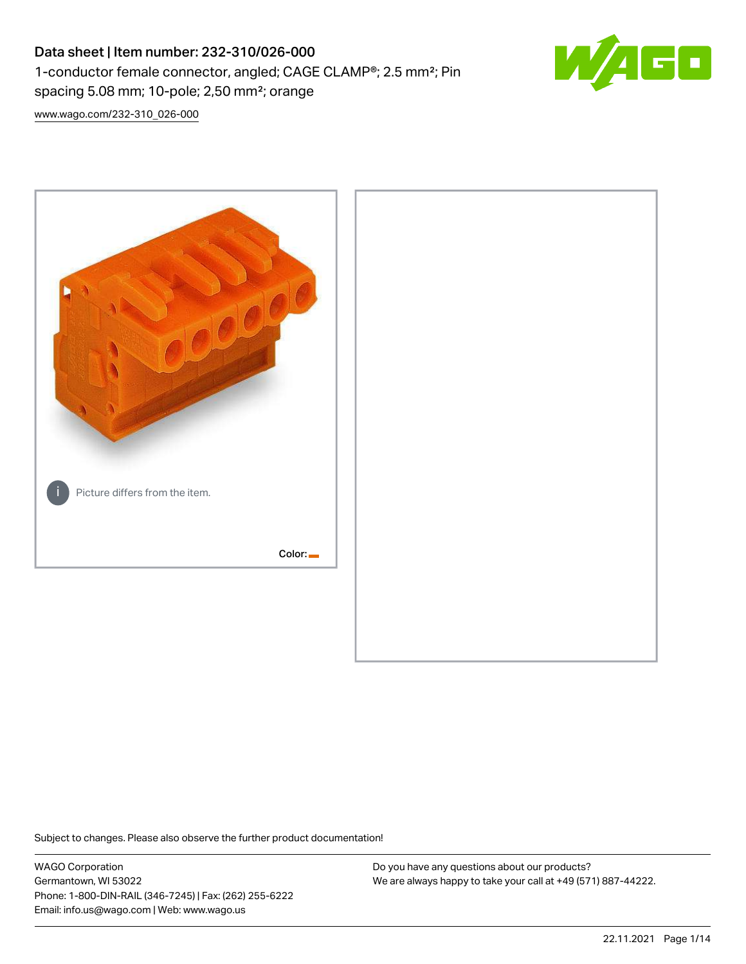# Data sheet | Item number: 232-310/026-000 1-conductor female connector, angled; CAGE CLAMP®; 2.5 mm²; Pin spacing 5.08 mm; 10-pole; 2,50 mm²; orange



[www.wago.com/232-310\\_026-000](http://www.wago.com/232-310_026-000)



Subject to changes. Please also observe the further product documentation!

WAGO Corporation Germantown, WI 53022 Phone: 1-800-DIN-RAIL (346-7245) | Fax: (262) 255-6222 Email: info.us@wago.com | Web: www.wago.us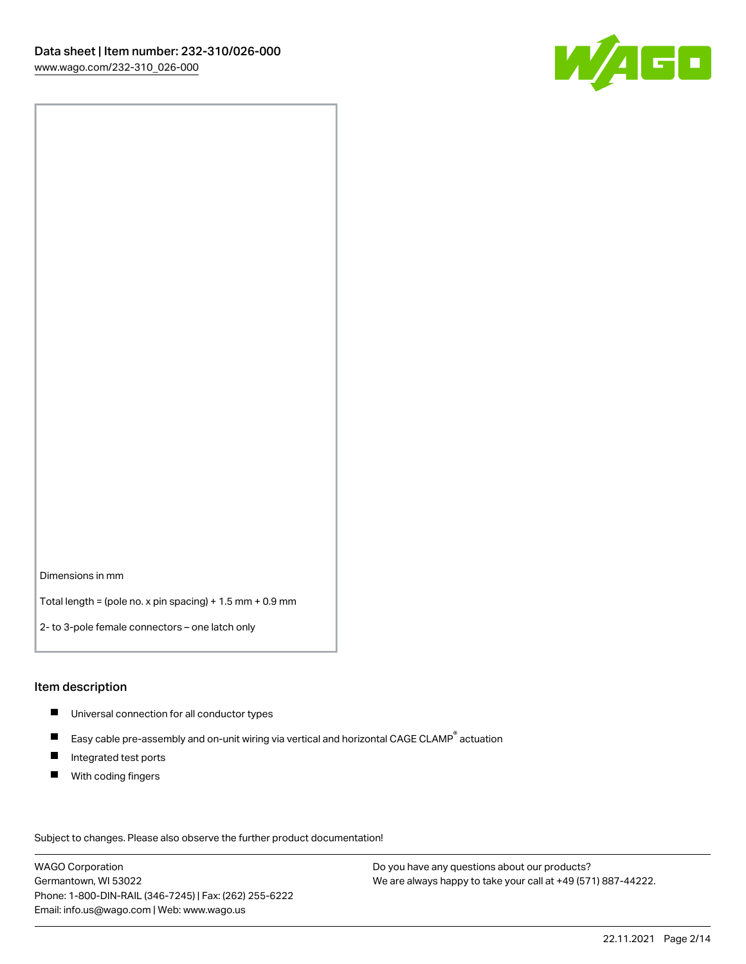

Dimensions in mm

Total length = (pole no. x pin spacing) + 1.5 mm + 0.9 mm

2- to 3-pole female connectors – one latch only

#### Item description

- **Universal connection for all conductor types**
- Easy cable pre-assembly and on-unit wiring via vertical and horizontal CAGE CLAMP<sup>®</sup> actuation  $\blacksquare$
- $\blacksquare$ Integrated test ports
- $\blacksquare$ With coding fingers

Subject to changes. Please also observe the further product documentation! Data

WAGO Corporation Germantown, WI 53022 Phone: 1-800-DIN-RAIL (346-7245) | Fax: (262) 255-6222 Email: info.us@wago.com | Web: www.wago.us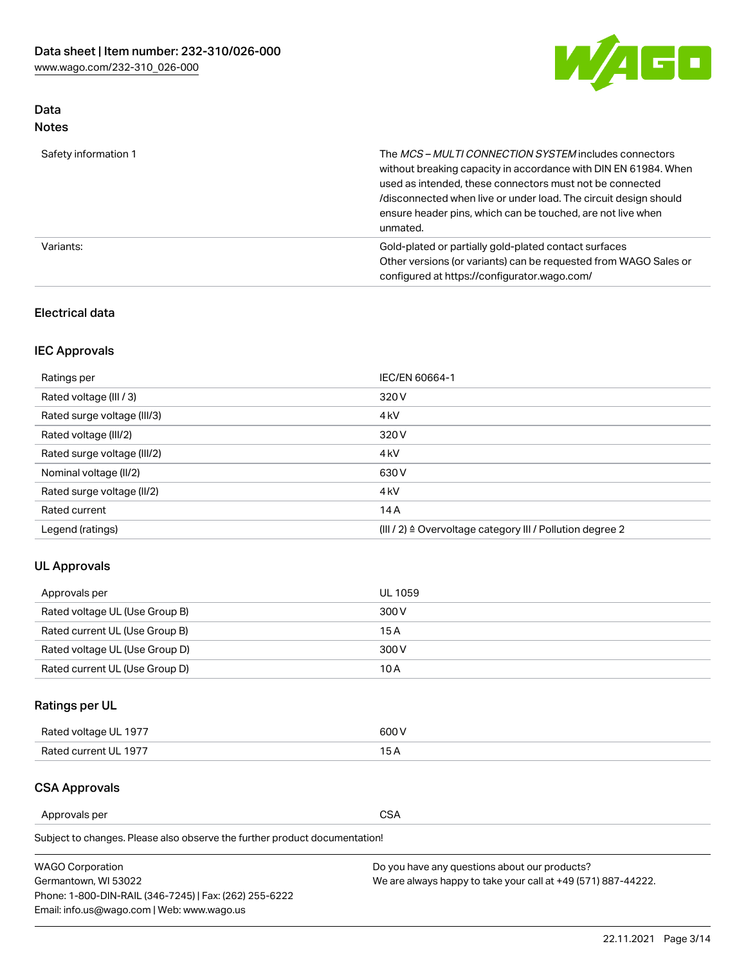

### Data Notes

| Safety information 1 | The MCS-MULTI CONNECTION SYSTEM includes connectors<br>without breaking capacity in accordance with DIN EN 61984. When<br>used as intended, these connectors must not be connected<br>/disconnected when live or under load. The circuit design should<br>ensure header pins, which can be touched, are not live when<br>unmated. |
|----------------------|-----------------------------------------------------------------------------------------------------------------------------------------------------------------------------------------------------------------------------------------------------------------------------------------------------------------------------------|
| Variants:            | Gold-plated or partially gold-plated contact surfaces<br>Other versions (or variants) can be requested from WAGO Sales or<br>configured at https://configurator.wago.com/                                                                                                                                                         |

#### Electrical data

### IEC Approvals

| Ratings per                 | IEC/EN 60664-1                                                        |
|-----------------------------|-----------------------------------------------------------------------|
| Rated voltage (III / 3)     | 320 V                                                                 |
| Rated surge voltage (III/3) | 4 <sub>k</sub> V                                                      |
| Rated voltage (III/2)       | 320 V                                                                 |
| Rated surge voltage (III/2) | 4 <sub>k</sub> V                                                      |
| Nominal voltage (II/2)      | 630 V                                                                 |
| Rated surge voltage (II/2)  | 4 <sub>k</sub> V                                                      |
| Rated current               | 14A                                                                   |
| Legend (ratings)            | $(III / 2)$ $\triangle$ Overvoltage category III / Pollution degree 2 |

### UL Approvals

| Approvals per                  | UL 1059 |
|--------------------------------|---------|
| Rated voltage UL (Use Group B) | 300 V   |
| Rated current UL (Use Group B) | 15 A    |
| Rated voltage UL (Use Group D) | 300 V   |
| Rated current UL (Use Group D) | 10 A    |

## Ratings per UL

| Rated voltage UL 1977 | 300 V |
|-----------------------|-------|
| Rated current UL 1977 |       |

#### CSA Approvals

Approvals per CSA

Subject to changes. Please also observe the further product documentation!

| <b>WAGO Corporation</b>                                | Do you have any questions about our products?                 |
|--------------------------------------------------------|---------------------------------------------------------------|
| Germantown, WI 53022                                   | We are always happy to take your call at +49 (571) 887-44222. |
| Phone: 1-800-DIN-RAIL (346-7245)   Fax: (262) 255-6222 |                                                               |
| Email: info.us@wago.com   Web: www.wago.us             |                                                               |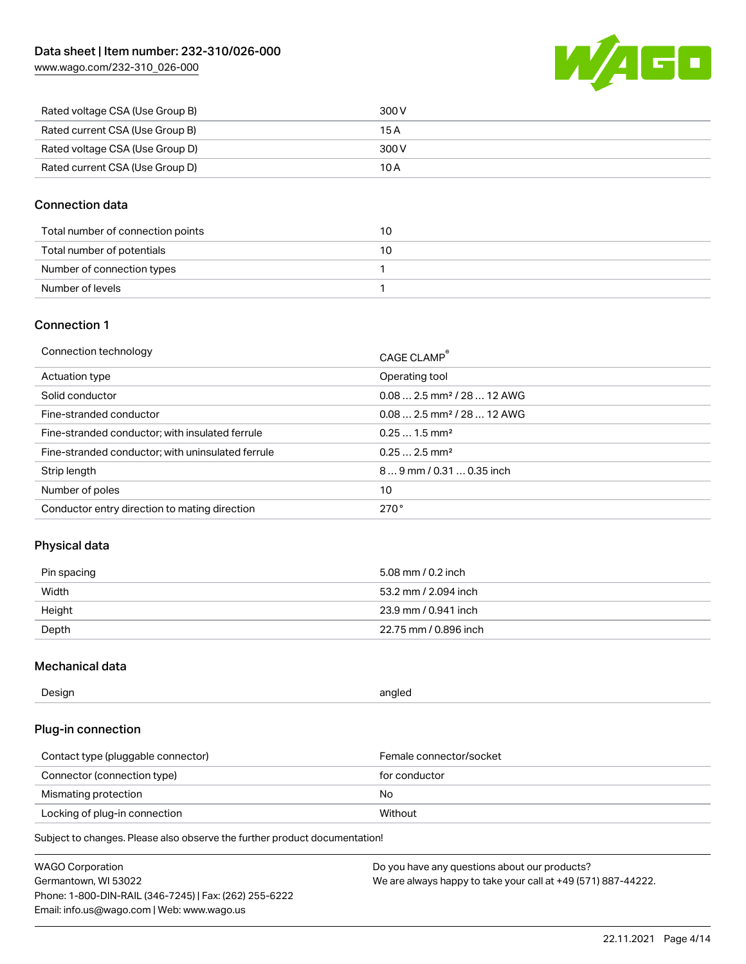[www.wago.com/232-310\\_026-000](http://www.wago.com/232-310_026-000)



| Rated voltage CSA (Use Group B) | 300 V |
|---------------------------------|-------|
| Rated current CSA (Use Group B) | 15 A  |
| Rated voltage CSA (Use Group D) | 300 V |
| Rated current CSA (Use Group D) | 10 A  |

#### Connection data

| Total number of connection points | 10 |
|-----------------------------------|----|
| Total number of potentials        | 10 |
| Number of connection types        |    |
| Number of levels                  |    |

#### Connection 1

| Connection technology                             | CAGE CLAMP®                            |
|---------------------------------------------------|----------------------------------------|
| Actuation type                                    | Operating tool                         |
| Solid conductor                                   | $0.082.5$ mm <sup>2</sup> / 28  12 AWG |
| Fine-stranded conductor                           | $0.082.5$ mm <sup>2</sup> / 28  12 AWG |
| Fine-stranded conductor; with insulated ferrule   | $0.251.5$ mm <sup>2</sup>              |
| Fine-stranded conductor; with uninsulated ferrule | $0.252.5$ mm <sup>2</sup>              |
| Strip length                                      | $89$ mm $/ 0.310.35$ inch              |
| Number of poles                                   | 10                                     |
| Conductor entry direction to mating direction     | 270°                                   |

### Physical data

| Pin spacing | 5.08 mm / 0.2 inch    |
|-------------|-----------------------|
| Width       | 53.2 mm / 2.094 inch  |
| Height      | 23.9 mm / 0.941 inch  |
| Depth       | 22.75 mm / 0.896 inch |

#### Mechanical data

| --<br>Design | angled<br>. . |
|--------------|---------------|
|              |               |

### Plug-in connection

| Contact type (pluggable connector) | Female connector/socket |
|------------------------------------|-------------------------|
| Connector (connection type)        | for conductor           |
| Mismating protection               | No.                     |
| Locking of plug-in connection      | Without                 |

Subject to changes. Please also observe the further product documentation!

| <b>WAGO Corporation</b>                                | Do you have any questions about our products?                 |
|--------------------------------------------------------|---------------------------------------------------------------|
| Germantown, WI 53022                                   | We are always happy to take your call at +49 (571) 887-44222. |
| Phone: 1-800-DIN-RAIL (346-7245)   Fax: (262) 255-6222 |                                                               |
| Email: info.us@wago.com   Web: www.wago.us             |                                                               |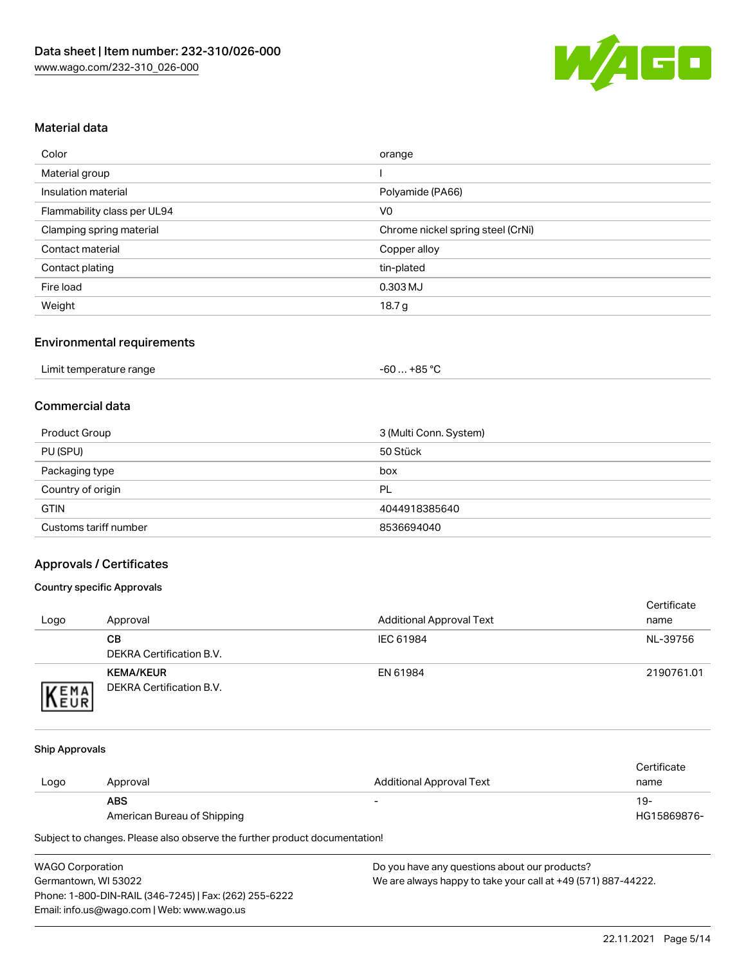

#### Material data

| Color                       | orange                            |
|-----------------------------|-----------------------------------|
| Material group              |                                   |
| Insulation material         | Polyamide (PA66)                  |
| Flammability class per UL94 | V <sub>0</sub>                    |
| Clamping spring material    | Chrome nickel spring steel (CrNi) |
| Contact material            | Copper alloy                      |
| Contact plating             | tin-plated                        |
| Fire load                   | 0.303 MJ                          |
| Weight                      | 18.7 g                            |

#### Environmental requirements

| Limit temperature range<br>. | … +85 °C.<br>-60 … |
|------------------------------|--------------------|
|------------------------------|--------------------|

#### Commercial data

| Product Group         | 3 (Multi Conn. System) |
|-----------------------|------------------------|
| PU (SPU)              | 50 Stück               |
| Packaging type        | box                    |
| Country of origin     | PL                     |
| <b>GTIN</b>           | 4044918385640          |
| Customs tariff number | 8536694040             |

### Approvals / Certificates

#### Country specific Approvals

| Logo                | Approval                                     | <b>Additional Approval Text</b> | Certificate<br>name |
|---------------------|----------------------------------------------|---------------------------------|---------------------|
|                     | CВ<br>DEKRA Certification B.V.               | IEC 61984                       | NL-39756            |
| EMA<br><b>INEUR</b> | <b>KEMA/KEUR</b><br>DEKRA Certification B.V. | EN 61984                        | 2190761.01          |

#### Ship Approvals

|      |                             |                          | Certificate |
|------|-----------------------------|--------------------------|-------------|
| Logo | Approval                    | Additional Approval Text | name        |
|      | <b>ABS</b>                  | $\overline{\phantom{0}}$ | 19-         |
|      | American Bureau of Shipping |                          | HG15869876- |

Subject to changes. Please also observe the further product documentation!

| <b>WAGO Corporation</b>                                | Dc |
|--------------------------------------------------------|----|
| Germantown, WI 53022                                   | w  |
| Phone: 1-800-DIN-RAIL (346-7245)   Fax: (262) 255-6222 |    |
| Email: info.us@wago.com   Web: www.wago.us             |    |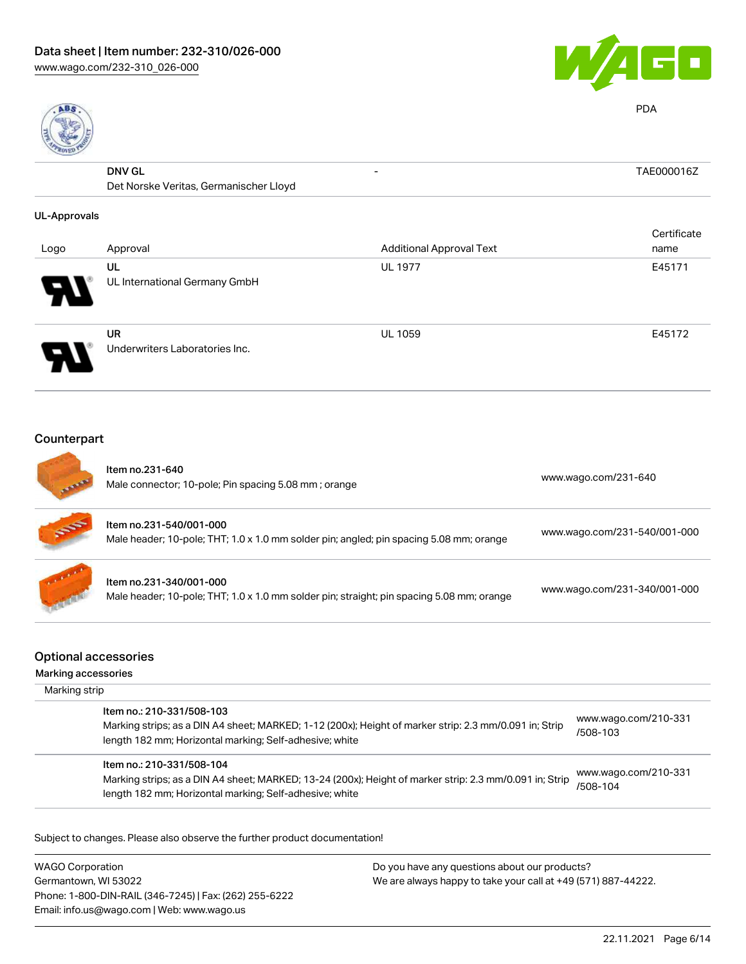



PDA

| 븮                   |                                        |                                 |             |
|---------------------|----------------------------------------|---------------------------------|-------------|
|                     | <b>DNV GL</b>                          | -                               | TAE000016Z  |
|                     | Det Norske Veritas, Germanischer Lloyd |                                 |             |
| <b>UL-Approvals</b> |                                        |                                 |             |
|                     |                                        |                                 | Certificate |
| Logo                | Approval                               | <b>Additional Approval Text</b> | name        |
|                     | UL                                     | <b>UL 1977</b>                  | E45171      |
|                     | UL International Germany GmbH          |                                 |             |
|                     | <b>UR</b>                              | <b>UL 1059</b>                  | E45172      |
|                     | Underwriters Laboratories Inc.         |                                 |             |

## Counterpart

| <b>STATISTICS</b> | Item no.231-640<br>Male connector; 10-pole; Pin spacing 5.08 mm; orange                                              | www.wago.com/231-640         |
|-------------------|----------------------------------------------------------------------------------------------------------------------|------------------------------|
| <b>SERVE</b>      | Item no.231-540/001-000<br>Male header; 10-pole; THT; 1.0 x 1.0 mm solder pin; angled; pin spacing 5.08 mm; orange   | www.wago.com/231-540/001-000 |
|                   | Item no.231-340/001-000<br>Male header; 10-pole; THT; 1.0 x 1.0 mm solder pin; straight; pin spacing 5.08 mm; orange | www.wago.com/231-340/001-000 |

### Optional accessories

#### Marking accessories

| Marking strip |                                                                                                                                                                                                 |                                  |
|---------------|-------------------------------------------------------------------------------------------------------------------------------------------------------------------------------------------------|----------------------------------|
|               | Item no.: 210-331/508-103<br>Marking strips; as a DIN A4 sheet; MARKED; 1-12 (200x); Height of marker strip: 2.3 mm/0.091 in; Strip<br>length 182 mm; Horizontal marking; Self-adhesive; white  | www.wago.com/210-331<br>/508-103 |
|               | Item no.: 210-331/508-104<br>Marking strips; as a DIN A4 sheet; MARKED; 13-24 (200x); Height of marker strip: 2.3 mm/0.091 in; Strip<br>length 182 mm; Horizontal marking; Self-adhesive; white | www.wago.com/210-331<br>/508-104 |

Subject to changes. Please also observe the further product documentation!

WAGO Corporation Germantown, WI 53022 Phone: 1-800-DIN-RAIL (346-7245) | Fax: (262) 255-6222 Email: info.us@wago.com | Web: www.wago.us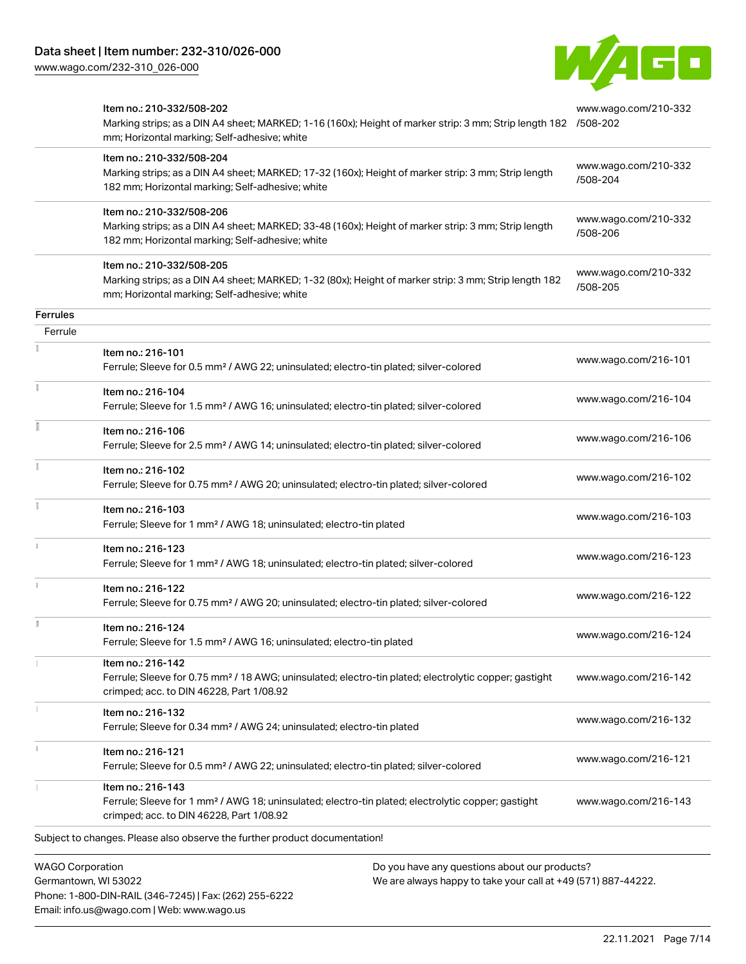Phone: 1-800-DIN-RAIL (346-7245) | Fax: (262) 255-6222

Email: info.us@wago.com | Web: www.wago.us

[www.wago.com/232-310\\_026-000](http://www.wago.com/232-310_026-000)



|                                                 | Item no.: 210-332/508-202<br>Marking strips; as a DIN A4 sheet; MARKED; 1-16 (160x); Height of marker strip: 3 mm; Strip length 182 /508-202<br>mm; Horizontal marking; Self-adhesive; white |                                                                                                                | www.wago.com/210-332             |
|-------------------------------------------------|----------------------------------------------------------------------------------------------------------------------------------------------------------------------------------------------|----------------------------------------------------------------------------------------------------------------|----------------------------------|
|                                                 | Item no.: 210-332/508-204<br>Marking strips; as a DIN A4 sheet; MARKED; 17-32 (160x); Height of marker strip: 3 mm; Strip length<br>182 mm; Horizontal marking; Self-adhesive; white         |                                                                                                                | www.wago.com/210-332<br>/508-204 |
|                                                 | Item no.: 210-332/508-206<br>Marking strips; as a DIN A4 sheet; MARKED; 33-48 (160x); Height of marker strip: 3 mm; Strip length<br>182 mm; Horizontal marking; Self-adhesive; white         |                                                                                                                | www.wago.com/210-332<br>/508-206 |
|                                                 | Item no.: 210-332/508-205<br>Marking strips; as a DIN A4 sheet; MARKED; 1-32 (80x); Height of marker strip: 3 mm; Strip length 182<br>mm; Horizontal marking; Self-adhesive; white           |                                                                                                                | www.wago.com/210-332<br>/508-205 |
| <b>Ferrules</b>                                 |                                                                                                                                                                                              |                                                                                                                |                                  |
| Ferrule                                         |                                                                                                                                                                                              |                                                                                                                |                                  |
|                                                 | Item no.: 216-101<br>Ferrule; Sleeve for 0.5 mm <sup>2</sup> / AWG 22; uninsulated; electro-tin plated; silver-colored                                                                       |                                                                                                                | www.wago.com/216-101             |
|                                                 | Item no.: 216-104<br>Ferrule; Sleeve for 1.5 mm <sup>2</sup> / AWG 16; uninsulated; electro-tin plated; silver-colored                                                                       |                                                                                                                | www.wago.com/216-104             |
|                                                 | Item no.: 216-106<br>Ferrule; Sleeve for 2.5 mm <sup>2</sup> / AWG 14; uninsulated; electro-tin plated; silver-colored                                                                       |                                                                                                                | www.wago.com/216-106             |
| Ĭ.                                              | Item no.: 216-102<br>Ferrule; Sleeve for 0.75 mm <sup>2</sup> / AWG 20; uninsulated; electro-tin plated; silver-colored                                                                      |                                                                                                                | www.wago.com/216-102             |
|                                                 | Item no.: 216-103<br>Ferrule; Sleeve for 1 mm <sup>2</sup> / AWG 18; uninsulated; electro-tin plated                                                                                         |                                                                                                                | www.wago.com/216-103             |
|                                                 | Item no.: 216-123<br>Ferrule; Sleeve for 1 mm <sup>2</sup> / AWG 18; uninsulated; electro-tin plated; silver-colored                                                                         |                                                                                                                | www.wago.com/216-123             |
|                                                 | Item no.: 216-122<br>Ferrule; Sleeve for 0.75 mm <sup>2</sup> / AWG 20; uninsulated; electro-tin plated; silver-colored                                                                      |                                                                                                                | www.wago.com/216-122             |
| Ĭ.                                              | Item no.: 216-124<br>Ferrule; Sleeve for 1.5 mm <sup>2</sup> / AWG 16; uninsulated; electro-tin plated                                                                                       |                                                                                                                | www.wago.com/216-124             |
|                                                 | Item no.: 216-142<br>Ferrule; Sleeve for 0.75 mm <sup>2</sup> / 18 AWG; uninsulated; electro-tin plated; electrolytic copper; gastight<br>crimped; acc. to DIN 46228, Part 1/08.92           |                                                                                                                | www.wago.com/216-142             |
|                                                 | Item no.: 216-132<br>Ferrule; Sleeve for 0.34 mm <sup>2</sup> / AWG 24; uninsulated; electro-tin plated                                                                                      |                                                                                                                | www.wago.com/216-132             |
| ī.                                              | Item no.: 216-121<br>Ferrule; Sleeve for 0.5 mm <sup>2</sup> / AWG 22; uninsulated; electro-tin plated; silver-colored                                                                       |                                                                                                                | www.wago.com/216-121             |
|                                                 | Item no.: 216-143<br>Ferrule; Sleeve for 1 mm <sup>2</sup> / AWG 18; uninsulated; electro-tin plated; electrolytic copper; gastight<br>crimped; acc. to DIN 46228, Part 1/08.92              |                                                                                                                | www.wago.com/216-143             |
|                                                 | Subject to changes. Please also observe the further product documentation!                                                                                                                   |                                                                                                                |                                  |
| <b>WAGO Corporation</b><br>Germantown, WI 53022 |                                                                                                                                                                                              | Do you have any questions about our products?<br>We are always happy to take your call at +49 (571) 887-44222. |                                  |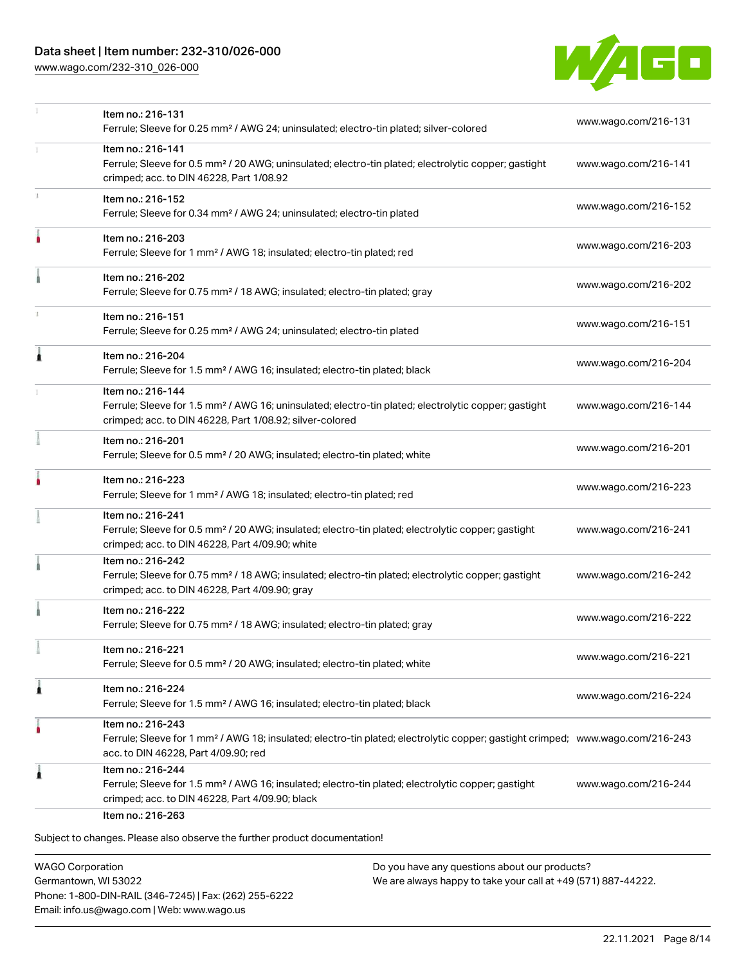### Data sheet | Item number: 232-310/026-000

[www.wago.com/232-310\\_026-000](http://www.wago.com/232-310_026-000)



|    | Item no.: 216-131<br>Ferrule; Sleeve for 0.25 mm <sup>2</sup> / AWG 24; uninsulated; electro-tin plated; silver-colored                                                                                 | www.wago.com/216-131 |
|----|---------------------------------------------------------------------------------------------------------------------------------------------------------------------------------------------------------|----------------------|
|    | Item no.: 216-141<br>Ferrule; Sleeve for 0.5 mm <sup>2</sup> / 20 AWG; uninsulated; electro-tin plated; electrolytic copper; gastight<br>crimped; acc. to DIN 46228, Part 1/08.92                       | www.wago.com/216-141 |
| z. | Item no.: 216-152<br>Ferrule; Sleeve for 0.34 mm <sup>2</sup> / AWG 24; uninsulated; electro-tin plated                                                                                                 | www.wago.com/216-152 |
|    | Item no.: 216-203<br>Ferrule; Sleeve for 1 mm <sup>2</sup> / AWG 18; insulated; electro-tin plated; red                                                                                                 | www.wago.com/216-203 |
|    | Item no.: 216-202<br>Ferrule; Sleeve for 0.75 mm <sup>2</sup> / 18 AWG; insulated; electro-tin plated; gray                                                                                             | www.wago.com/216-202 |
| ı  | Item no.: 216-151<br>Ferrule; Sleeve for 0.25 mm <sup>2</sup> / AWG 24; uninsulated; electro-tin plated                                                                                                 | www.wago.com/216-151 |
| Â  | Item no.: 216-204<br>Ferrule; Sleeve for 1.5 mm <sup>2</sup> / AWG 16; insulated; electro-tin plated; black                                                                                             | www.wago.com/216-204 |
|    | Item no.: 216-144<br>Ferrule; Sleeve for 1.5 mm <sup>2</sup> / AWG 16; uninsulated; electro-tin plated; electrolytic copper; gastight<br>crimped; acc. to DIN 46228, Part 1/08.92; silver-colored       | www.wago.com/216-144 |
|    | Item no.: 216-201<br>Ferrule; Sleeve for 0.5 mm <sup>2</sup> / 20 AWG; insulated; electro-tin plated; white                                                                                             | www.wago.com/216-201 |
|    | Item no.: 216-223<br>Ferrule; Sleeve for 1 mm <sup>2</sup> / AWG 18; insulated; electro-tin plated; red                                                                                                 | www.wago.com/216-223 |
|    | Item no.: 216-241<br>Ferrule; Sleeve for 0.5 mm <sup>2</sup> / 20 AWG; insulated; electro-tin plated; electrolytic copper; gastight<br>crimped; acc. to DIN 46228, Part 4/09.90; white                  | www.wago.com/216-241 |
|    | Item no.: 216-242<br>Ferrule; Sleeve for 0.75 mm <sup>2</sup> / 18 AWG; insulated; electro-tin plated; electrolytic copper; gastight<br>crimped; acc. to DIN 46228, Part 4/09.90; gray                  | www.wago.com/216-242 |
|    | Item no.: 216-222<br>Ferrule; Sleeve for 0.75 mm <sup>2</sup> / 18 AWG; insulated; electro-tin plated; gray                                                                                             | www.wago.com/216-222 |
|    | Item no.: 216-221<br>Ferrule; Sleeve for 0.5 mm <sup>2</sup> / 20 AWG; insulated; electro-tin plated; white                                                                                             | www.wago.com/216-221 |
| Â  | Item no.: 216-224<br>Ferrule; Sleeve for 1.5 mm <sup>2</sup> / AWG 16; insulated; electro-tin plated; black                                                                                             | www.wago.com/216-224 |
| ٥  | Item no.: 216-243<br>Ferrule; Sleeve for 1 mm <sup>2</sup> / AWG 18; insulated; electro-tin plated; electrolytic copper; gastight crimped; www.wago.com/216-243<br>acc. to DIN 46228, Part 4/09.90; red |                      |
| 1  | Item no.: 216-244<br>Ferrule; Sleeve for 1.5 mm <sup>2</sup> / AWG 16; insulated; electro-tin plated; electrolytic copper; gastight<br>crimped; acc. to DIN 46228, Part 4/09.90; black                  | www.wago.com/216-244 |

WAGO Corporation Germantown, WI 53022 Phone: 1-800-DIN-RAIL (346-7245) | Fax: (262) 255-6222 Email: info.us@wago.com | Web: www.wago.us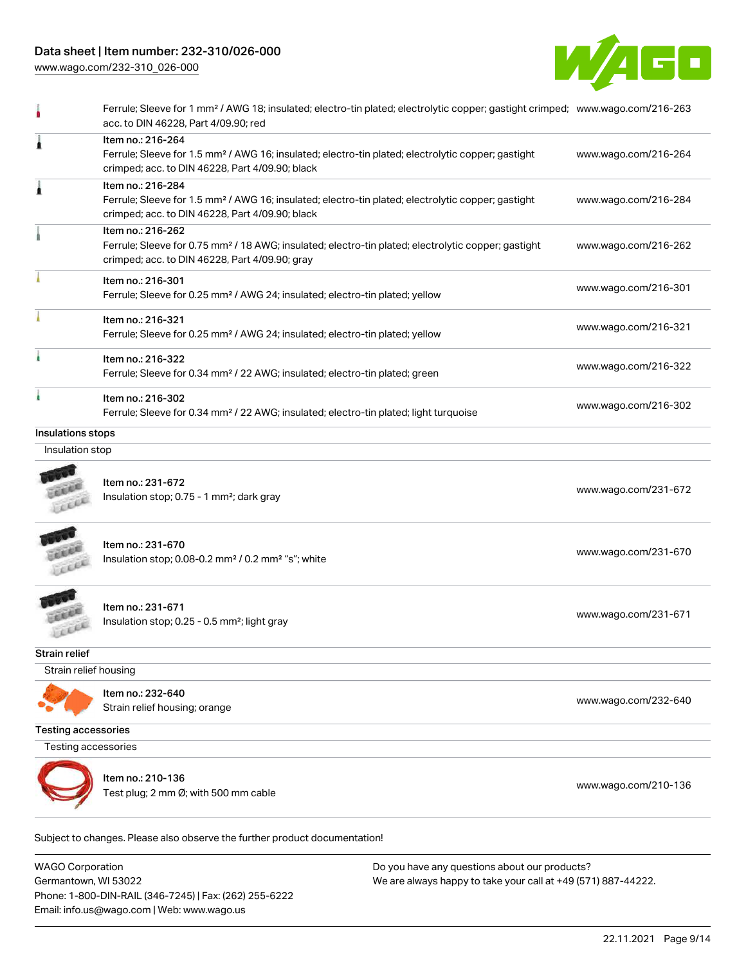## Data sheet | Item number: 232-310/026-000

[www.wago.com/232-310\\_026-000](http://www.wago.com/232-310_026-000)



|                            | Ferrule; Sleeve for 1 mm <sup>2</sup> / AWG 18; insulated; electro-tin plated; electrolytic copper; gastight crimped; www.wago.com/216-263<br>acc. to DIN 46228, Part 4/09.90; red     |                      |
|----------------------------|----------------------------------------------------------------------------------------------------------------------------------------------------------------------------------------|----------------------|
| 1                          | Item no.: 216-264<br>Ferrule; Sleeve for 1.5 mm <sup>2</sup> / AWG 16; insulated; electro-tin plated; electrolytic copper; gastight<br>crimped; acc. to DIN 46228, Part 4/09.90; black | www.wago.com/216-264 |
| 1                          | Item no.: 216-284<br>Ferrule; Sleeve for 1.5 mm <sup>2</sup> / AWG 16; insulated; electro-tin plated; electrolytic copper; gastight<br>crimped; acc. to DIN 46228, Part 4/09.90; black | www.wago.com/216-284 |
|                            | Item no.: 216-262<br>Ferrule; Sleeve for 0.75 mm <sup>2</sup> / 18 AWG; insulated; electro-tin plated; electrolytic copper; gastight<br>crimped; acc. to DIN 46228, Part 4/09.90; gray | www.wago.com/216-262 |
|                            | Item no.: 216-301<br>Ferrule; Sleeve for 0.25 mm <sup>2</sup> / AWG 24; insulated; electro-tin plated; yellow                                                                          | www.wago.com/216-301 |
|                            | Item no.: 216-321<br>Ferrule; Sleeve for 0.25 mm <sup>2</sup> / AWG 24; insulated; electro-tin plated; yellow                                                                          | www.wago.com/216-321 |
|                            | Item no.: 216-322<br>Ferrule; Sleeve for 0.34 mm <sup>2</sup> / 22 AWG; insulated; electro-tin plated; green                                                                           | www.wago.com/216-322 |
|                            | Item no.: 216-302<br>Ferrule; Sleeve for 0.34 mm <sup>2</sup> / 22 AWG; insulated; electro-tin plated; light turquoise                                                                 | www.wago.com/216-302 |
| Insulations stops          |                                                                                                                                                                                        |                      |
| Insulation stop            |                                                                                                                                                                                        |                      |
|                            | Item no.: 231-672<br>Insulation stop; 0.75 - 1 mm <sup>2</sup> ; dark gray                                                                                                             | www.wago.com/231-672 |
|                            | Item no.: 231-670<br>Insulation stop; 0.08-0.2 mm <sup>2</sup> / 0.2 mm <sup>2</sup> "s"; white                                                                                        | www.wago.com/231-670 |
|                            | Item no.: 231-671<br>Insulation stop; 0.25 - 0.5 mm <sup>2</sup> ; light gray                                                                                                          | www.wago.com/231-671 |
| Strain relief              |                                                                                                                                                                                        |                      |
| Strain relief housing      |                                                                                                                                                                                        |                      |
|                            | Item no.: 232-640<br>Strain relief housing; orange                                                                                                                                     | www.wago.com/232-640 |
| <b>Testing accessories</b> |                                                                                                                                                                                        |                      |
| <b>Testing accessories</b> |                                                                                                                                                                                        |                      |
|                            | Item no.: 210-136<br>Test plug; 2 mm Ø; with 500 mm cable                                                                                                                              | www.wago.com/210-136 |
|                            | Subject to changes. Please also observe the further product documentation!                                                                                                             |                      |

WAGO Corporation Germantown, WI 53022 Phone: 1-800-DIN-RAIL (346-7245) | Fax: (262) 255-6222 Email: info.us@wago.com | Web: www.wago.us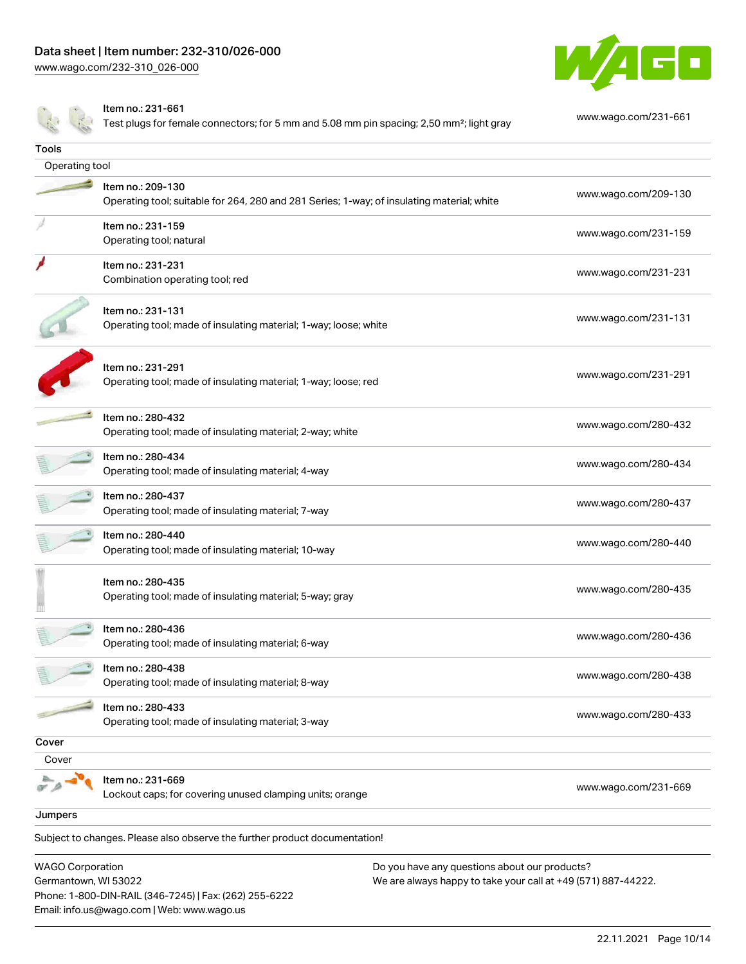Phone: 1-800-DIN-RAIL (346-7245) | Fax: (262) 255-6222

Email: info.us@wago.com | Web: www.wago.us

[www.wago.com/232-310\\_026-000](http://www.wago.com/232-310_026-000)



|                                                 | Item no.: 231-661<br>Test plugs for female connectors; for 5 mm and 5.08 mm pin spacing; 2,50 mm <sup>2</sup> ; light gray | www.wago.com/231-661                                                                                           |  |
|-------------------------------------------------|----------------------------------------------------------------------------------------------------------------------------|----------------------------------------------------------------------------------------------------------------|--|
| Tools                                           |                                                                                                                            |                                                                                                                |  |
| Operating tool                                  |                                                                                                                            |                                                                                                                |  |
|                                                 | Item no.: 209-130<br>Operating tool; suitable for 264, 280 and 281 Series; 1-way; of insulating material; white            | www.wago.com/209-130                                                                                           |  |
|                                                 | Item no.: 231-159<br>Operating tool; natural                                                                               | www.wago.com/231-159                                                                                           |  |
|                                                 | Item no.: 231-231<br>Combination operating tool; red                                                                       | www.wago.com/231-231                                                                                           |  |
|                                                 | Item no.: 231-131<br>Operating tool; made of insulating material; 1-way; loose; white                                      | www.wago.com/231-131                                                                                           |  |
|                                                 | Item no.: 231-291<br>Operating tool; made of insulating material; 1-way; loose; red                                        | www.wago.com/231-291                                                                                           |  |
|                                                 | Item no.: 280-432<br>Operating tool; made of insulating material; 2-way; white                                             | www.wago.com/280-432                                                                                           |  |
|                                                 | Item no.: 280-434<br>Operating tool; made of insulating material; 4-way                                                    | www.wago.com/280-434                                                                                           |  |
|                                                 | Item no.: 280-437<br>Operating tool; made of insulating material; 7-way                                                    | www.wago.com/280-437                                                                                           |  |
|                                                 | Item no.: 280-440<br>Operating tool; made of insulating material; 10-way                                                   | www.wago.com/280-440                                                                                           |  |
|                                                 | Item no.: 280-435<br>Operating tool; made of insulating material; 5-way; gray                                              | www.wago.com/280-435                                                                                           |  |
|                                                 | Item no.: 280-436<br>Operating tool; made of insulating material; 6-way                                                    | www.wago.com/280-436                                                                                           |  |
|                                                 | Item no.: 280-438<br>Operating tool; made of insulating material; 8-way                                                    | www.wago.com/280-438                                                                                           |  |
|                                                 | Item no.: 280-433<br>Operating tool; made of insulating material; 3-way                                                    | www.wago.com/280-433                                                                                           |  |
| Cover                                           |                                                                                                                            |                                                                                                                |  |
| Cover                                           |                                                                                                                            |                                                                                                                |  |
|                                                 | Item no.: 231-669<br>Lockout caps; for covering unused clamping units; orange                                              | www.wago.com/231-669                                                                                           |  |
| Jumpers                                         |                                                                                                                            |                                                                                                                |  |
|                                                 | Subject to changes. Please also observe the further product documentation!                                                 |                                                                                                                |  |
| <b>WAGO Corporation</b><br>Germantown, WI 53022 |                                                                                                                            | Do you have any questions about our products?<br>We are always happy to take your call at +49 (571) 887-44222. |  |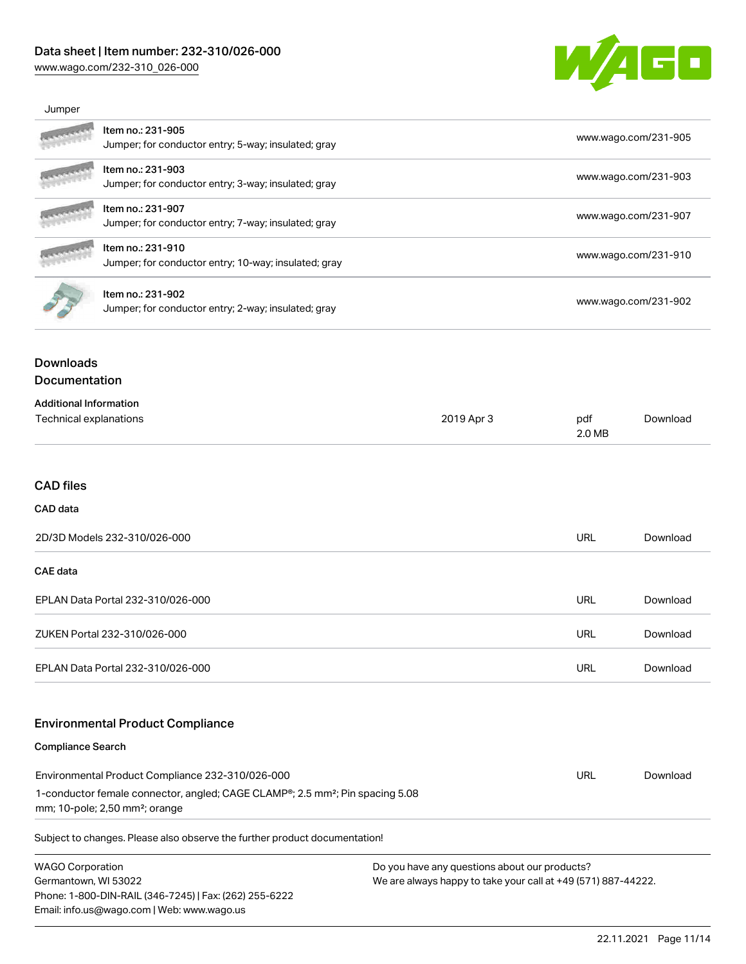### Data sheet | Item number: 232-310/026-000

[www.wago.com/232-310\\_026-000](http://www.wago.com/232-310_026-000)



| Jumper                                                                                                                                  |                                                                                                                                                       |               |                                              |                      |  |
|-----------------------------------------------------------------------------------------------------------------------------------------|-------------------------------------------------------------------------------------------------------------------------------------------------------|---------------|----------------------------------------------|----------------------|--|
| Item no.: 231-905<br>Jumper; for conductor entry; 5-way; insulated; gray                                                                |                                                                                                                                                       |               | www.wago.com/231-905                         |                      |  |
|                                                                                                                                         | Item no.: 231-903                                                                                                                                     |               |                                              |                      |  |
|                                                                                                                                         | Jumper; for conductor entry; 3-way; insulated; gray                                                                                                   |               |                                              | www.wago.com/231-903 |  |
|                                                                                                                                         | Item no.: 231-907<br>Jumper; for conductor entry; 7-way; insulated; gray<br>Item no.: 231-910<br>Jumper; for conductor entry; 10-way; insulated; gray |               | www.wago.com/231-907<br>www.wago.com/231-910 |                      |  |
|                                                                                                                                         |                                                                                                                                                       |               |                                              |                      |  |
|                                                                                                                                         |                                                                                                                                                       |               |                                              |                      |  |
|                                                                                                                                         | Item no.: 231-902<br>Jumper; for conductor entry; 2-way; insulated; gray                                                                              |               | www.wago.com/231-902                         |                      |  |
| <b>Downloads</b><br>Documentation                                                                                                       |                                                                                                                                                       |               |                                              |                      |  |
| <b>Additional Information</b>                                                                                                           |                                                                                                                                                       |               |                                              |                      |  |
| Technical explanations<br>2019 Apr 3                                                                                                    |                                                                                                                                                       | pdf<br>2.0 MB | Download                                     |                      |  |
|                                                                                                                                         |                                                                                                                                                       |               |                                              |                      |  |
| <b>CAD</b> files                                                                                                                        |                                                                                                                                                       |               |                                              |                      |  |
| CAD data                                                                                                                                |                                                                                                                                                       |               |                                              |                      |  |
| 2D/3D Models 232-310/026-000                                                                                                            |                                                                                                                                                       |               | <b>URL</b>                                   | Download             |  |
| <b>CAE</b> data                                                                                                                         |                                                                                                                                                       |               |                                              |                      |  |
| EPLAN Data Portal 232-310/026-000                                                                                                       |                                                                                                                                                       |               | <b>URL</b>                                   | Download             |  |
| ZUKEN Portal 232-310/026-000                                                                                                            |                                                                                                                                                       |               | URL                                          | Download             |  |
| EPLAN Data Portal 232-310/026-000                                                                                                       |                                                                                                                                                       | URL           | Download                                     |                      |  |
|                                                                                                                                         |                                                                                                                                                       |               |                                              |                      |  |
|                                                                                                                                         | <b>Environmental Product Compliance</b>                                                                                                               |               |                                              |                      |  |
| <b>Compliance Search</b>                                                                                                                |                                                                                                                                                       |               |                                              |                      |  |
| Environmental Product Compliance 232-310/026-000                                                                                        |                                                                                                                                                       |               | <b>URL</b>                                   | Download             |  |
| 1-conductor female connector, angled; CAGE CLAMP®; 2.5 mm <sup>2</sup> ; Pin spacing 5.08<br>mm; 10-pole; 2,50 mm <sup>2</sup> ; orange |                                                                                                                                                       |               |                                              |                      |  |

Subject to changes. Please also observe the further product documentation!

WAGO Corporation Germantown, WI 53022 Phone: 1-800-DIN-RAIL (346-7245) | Fax: (262) 255-6222 Email: info.us@wago.com | Web: www.wago.us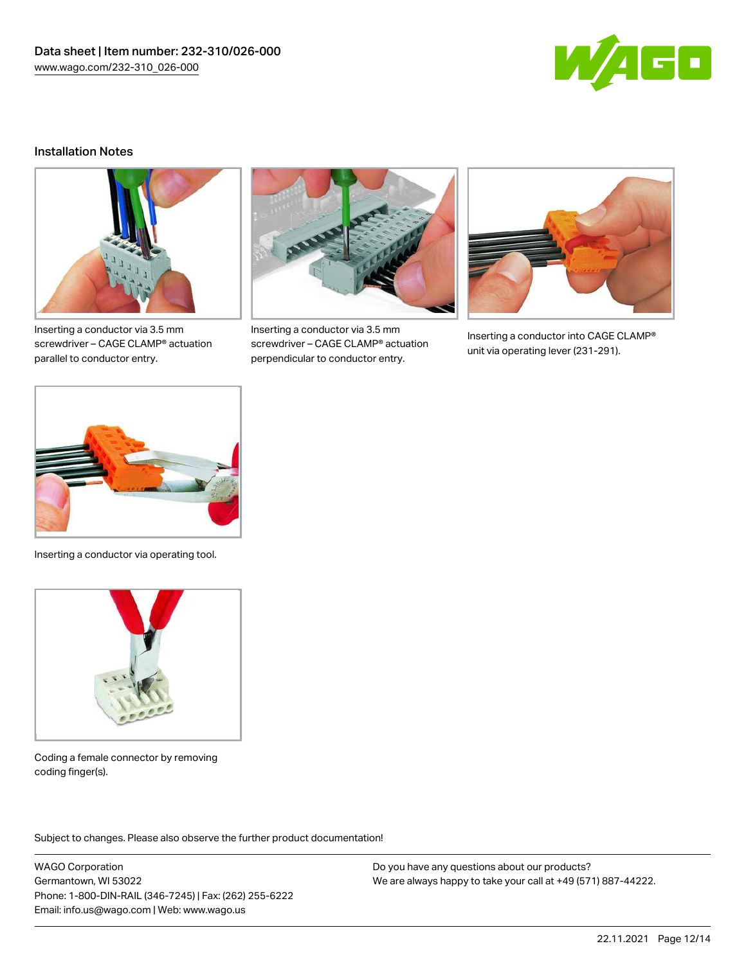

#### Installation Notes



Inserting a conductor via 3.5 mm screwdriver – CAGE CLAMP® actuation parallel to conductor entry.



Inserting a conductor via 3.5 mm screwdriver – CAGE CLAMP® actuation perpendicular to conductor entry.



Inserting a conductor into CAGE CLAMP® unit via operating lever (231-291).



Inserting a conductor via operating tool.



Coding a female connector by removing coding finger(s).

Subject to changes. Please also observe the further product documentation!

WAGO Corporation Germantown, WI 53022 Phone: 1-800-DIN-RAIL (346-7245) | Fax: (262) 255-6222 Email: info.us@wago.com | Web: www.wago.us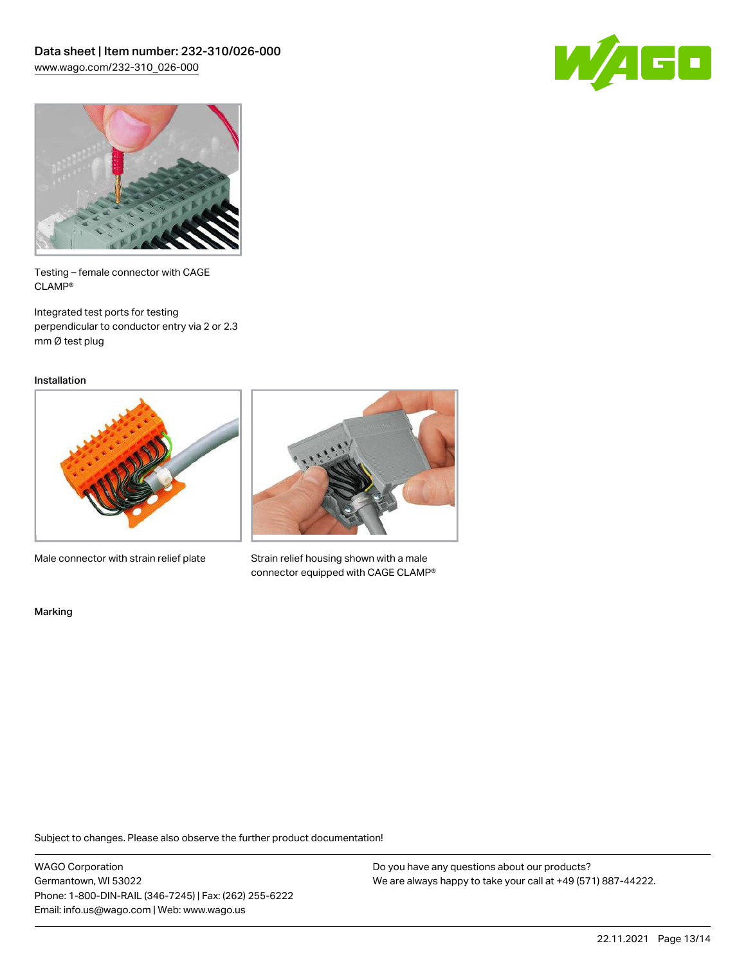



Testing – female connector with CAGE CLAMP®

Integrated test ports for testing perpendicular to conductor entry via 2 or 2.3 mm Ø test plug

Installation



Male connector with strain relief plate



Strain relief housing shown with a male connector equipped with CAGE CLAMP®

Marking

Subject to changes. Please also observe the further product documentation!

WAGO Corporation Germantown, WI 53022 Phone: 1-800-DIN-RAIL (346-7245) | Fax: (262) 255-6222 Email: info.us@wago.com | Web: www.wago.us